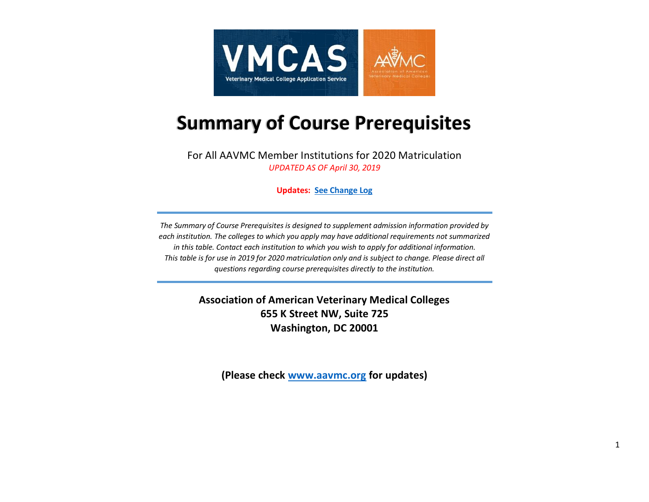

# **Summary of Course Prerequisites**

For All AAVMC Member Institutions for 2020 Matriculation *UPDATED AS OF April 30, 2019*

**Updates: [See Change Log](#page-14-0)**

*The Summary of Course Prerequisites is designed to supplement admission information provided by each institution. The colleges to which you apply may have additional requirements not summarized in this table. Contact each institution to which you wish to apply for additional information. This table is for use in 2019 for 2020 matriculation only and is subject to change. Please direct all questions regarding course prerequisites directly to the institution.*

> **Association of American Veterinary Medical Colleges 655 K Street NW, Suite 725 Washington, DC 20001**

**(Please check [www.aavmc.org](http://aavmc.org/Students-Applicants-and-Advisors/Veterinary-Medical-College-Application-Service.aspx) for updates)**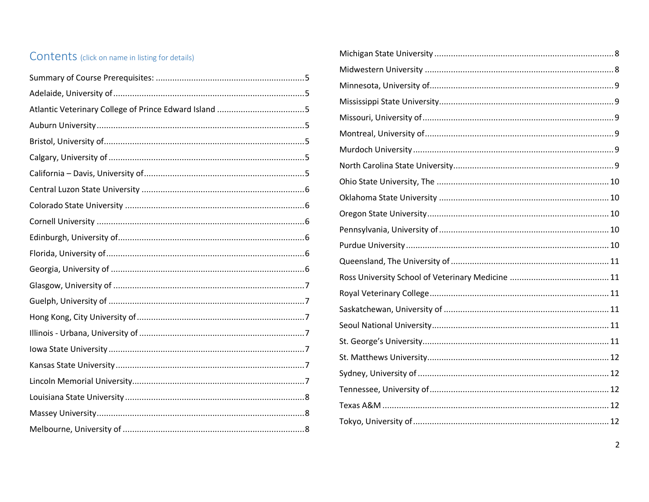### Contents (click on name in listing for details)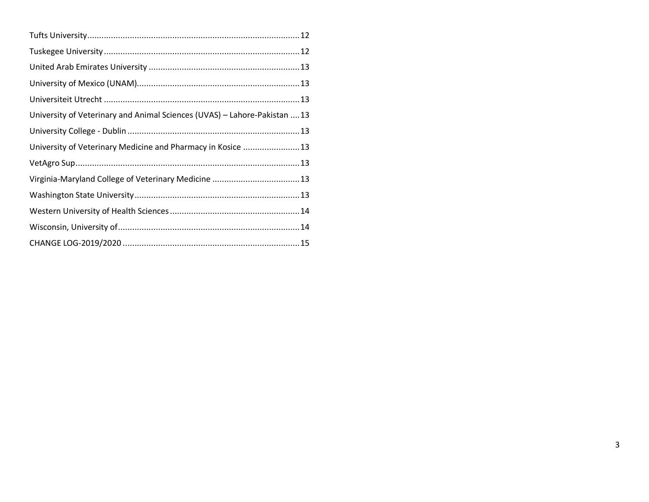| University of Veterinary and Animal Sciences (UVAS) - Lahore-Pakistan 13 |  |
|--------------------------------------------------------------------------|--|
|                                                                          |  |
| University of Veterinary Medicine and Pharmacy in Kosice 13              |  |
|                                                                          |  |
|                                                                          |  |
|                                                                          |  |
|                                                                          |  |
|                                                                          |  |
|                                                                          |  |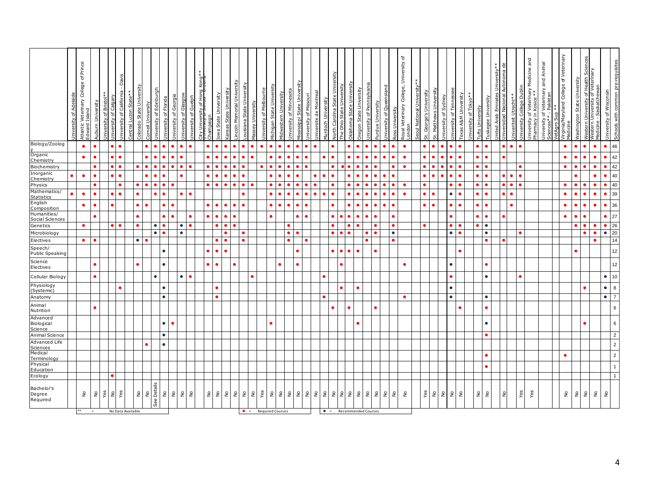|                                    | niversity of Adelaide | Atlantic Veterinary College of Prince<br>Edward Island |     | Auburn University | niversity of Calgary<br>Iniversity of Bristol* | Jniversity of California - Davis | entral Luzon State** | colorado State University           | urgh<br>Iniversity of Edinbi<br>ornell University | <b>Jniversity of Florida</b> | <b>Jniversity of Georgia</b>        | sgow<br>of Gla<br>Jniversity | Iniversity of Guelph | City University of Hong Kong**<br>אייטריט בווייט ביטיווווד | ampaign                             | owa State University | ansas State University | incoln Memorial University         | ouisiana State University           | Massey University     | <b>Jniversity of Melbourne</b> | Vichigan State University | Midwestern University | niversity of Minnesota  | Aississippi State Univer    | <b>Jniversity of Missouri</b>       | Iniversite de Montreal              | <b>Aurdoch Univ</b>    | Jorth Carolina State Unive | State University<br>The Ohio | )klahoma State University | <b>Dregon State University</b> | <b>Jniversity of Pennsylvania</b> | sity | niversity of Queensland                                         | <b>Ross University</b> | Royal Veterinary College, University of<br>I ondon | seoul National University* | St. George's University | St. Matthews University            | <b>Jniversity of Sydney</b> | niversity of Tennessee | exas A&M University        | niversity of Tokyo* | <b>Tufts University</b>            | uskegee University     | Jnited Arab Emirates University**<br>Jniversidad Nacional Autonoma de | Autonoma de                     | <b>Jniversity College Dublin</b><br>Iniveriteit Utrecht** | Jniversity of Veterinary Medicine and<br>Pharmacy in Kosice ** | Jniversity of Veterinary and Animal<br>Sciences** - Pakistan | vetAgro Sup * *<br>Virginia/Maryland College of Veterinary<br>Medicine |   | Sciences<br>Washington State University                       | Western University of Health Sci<br>Western University of Veterinary<br>Medicine - Saskatchewan |                                    | Schools with common pre-requisites<br>Iniversity of Wisconsin |  |
|------------------------------------|-----------------------|--------------------------------------------------------|-----|-------------------|------------------------------------------------|----------------------------------|----------------------|-------------------------------------|---------------------------------------------------|------------------------------|-------------------------------------|------------------------------|----------------------|------------------------------------------------------------|-------------------------------------|----------------------|------------------------|------------------------------------|-------------------------------------|-----------------------|--------------------------------|---------------------------|-----------------------|-------------------------|-----------------------------|-------------------------------------|-------------------------------------|------------------------|----------------------------|------------------------------|---------------------------|--------------------------------|-----------------------------------|------|-----------------------------------------------------------------|------------------------|----------------------------------------------------|----------------------------|-------------------------|------------------------------------|-----------------------------|------------------------|----------------------------|---------------------|------------------------------------|------------------------|-----------------------------------------------------------------------|---------------------------------|-----------------------------------------------------------|----------------------------------------------------------------|--------------------------------------------------------------|------------------------------------------------------------------------|---|---------------------------------------------------------------|-------------------------------------------------------------------------------------------------|------------------------------------|---------------------------------------------------------------|--|
| Biology/Zoolog                     |                       | $\bullet$                                              |     | $\bullet$         |                                                | $\bullet$                        |                      |                                     | $\bullet$                                         | $\bullet$                    | $\bullet$                           | $\bullet$                    |                      |                                                            | $\bullet$                           | $\bullet$            |                        | $\bullet$                          | $\bullet$                           | $\bullet$             |                                | $\bullet$                 |                       |                         |                             | $\bullet$                           | $\bullet$                           |                        |                            |                              | $\bullet$                 | $\bullet$<br>$\bullet$         |                                   |      |                                                                 | $\bullet$              | $\bullet$                                          |                            | $\bullet$               | $\bullet$                          | $\bullet$                   |                        | $\bullet$                  |                     | $\bullet$                          | $\bullet$              |                                                                       | $\bullet$                       | $\bullet$<br>$\bullet$                                    |                                                                |                                                              | $\bullet$                                                              |   | $\bullet$<br>$\bullet$                                        | $\bullet$                                                                                       |                                    | 46<br>$\bullet$                                               |  |
| Organic<br>Chemistry               |                       | $\bullet$                                              |     | $\bullet$         |                                                | $\bullet$                        |                      |                                     | $\bullet$                                         | ٠                            | ٠                                   |                              |                      |                                                            | $\bullet$                           |                      |                        | $\bullet$                          | $\bullet$                           |                       |                                | ٠                         |                       |                         |                             | $\bullet$                           |                                     |                        |                            |                              |                           | $\bullet$                      |                                   |      |                                                                 | $\bullet$              | $\bullet$                                          |                            | ٠                       | $\bullet$                          | $\bullet$                   |                        | $\bullet$                  |                     | $\bullet$                          | $\bullet$              |                                                                       | $\bullet$                       |                                                           |                                                                |                                                              | $\bullet$                                                              |   | $\bullet$                                                     | $\bullet$                                                                                       | ٠                                  | 42                                                            |  |
| Biochemistry<br>Inorganic          |                       |                                                        |     |                   |                                                |                                  |                      |                                     |                                                   |                              |                                     |                              |                      |                                                            | $\bullet$                           |                      |                        |                                    |                                     |                       |                                | $\bullet$                 |                       |                         |                             |                                     |                                     |                        |                            |                              |                           |                                |                                   |      | $\bullet$                                                       |                        | $\bullet$                                          |                            |                         |                                    |                             |                        |                            |                     | $\bullet$                          |                        |                                                                       |                                 |                                                           |                                                                |                                                              | $\bullet$                                                              |   |                                                               | $\bullet$                                                                                       |                                    | 42                                                            |  |
| Chemistry                          |                       | $\bullet$                                              |     |                   |                                                | $\bullet$                        |                      |                                     |                                                   | $\bullet$                    |                                     |                              |                      |                                                            | $\bullet$                           |                      |                        | $\bullet$                          | $\bullet$                           |                       |                                | $\bullet$                 |                       |                         |                             |                                     | $\bullet$                           |                        |                            |                              |                           | $\bullet$                      |                                   |      | $\bullet$                                                       |                        |                                                    |                            | ٠                       |                                    |                             |                        | ٠                          |                     | $\bullet$                          |                        |                                                                       | b.<br>$\bullet$                 |                                                           |                                                                |                                                              |                                                                        |   |                                                               | $\bullet$                                                                                       |                                    | 40                                                            |  |
| Physics<br>Mathematics/            |                       |                                                        |     | $\bullet$         |                                                |                                  |                      |                                     |                                                   |                              |                                     |                              |                      |                                                            |                                     |                      |                        |                                    | $\bullet$                           |                       |                                |                           |                       |                         |                             |                                     |                                     |                        |                            |                              |                           |                                |                                   |      | ò                                                               |                        | $\bullet$                                          |                            |                         |                                    |                             |                        | $\bullet$                  |                     | $\bullet$                          |                        |                                                                       | $\bullet$  <br>$\bullet$        |                                                           |                                                                |                                                              | ٠                                                                      |   |                                                               | $\bullet$                                                                                       |                                    | $40\,$                                                        |  |
| Statistics<br>English              |                       | $\bullet$                                              |     |                   |                                                |                                  |                      |                                     |                                                   | ٠                            |                                     |                              |                      |                                                            |                                     |                      |                        |                                    | ٠                                   |                       |                                | $\bullet$                 |                       |                         |                             | $\bullet$                           | $\bullet$                           | ٠                      |                            |                              |                           | $\bullet$                      |                                   |      |                                                                 | $\bullet$              | $\bullet$                                          |                            | ٠                       |                                    |                             | $\bullet$              | $\bullet$                  |                     | $\bullet$                          |                        |                                                                       | $\bullet$ $\vdash$<br>$\bullet$ |                                                           |                                                                |                                                              | $\bullet$                                                              |   | $\bullet$                                                     | $\bullet$                                                                                       |                                    | 39                                                            |  |
| Composition                        |                       | $\bullet$                                              |     |                   |                                                |                                  |                      |                                     |                                                   | ٠                            |                                     |                              |                      |                                                            |                                     |                      |                        | $\bullet$                          | $\bullet$                           |                       |                                | $\bullet$                 |                       |                         |                             | ٠                                   |                                     |                        |                            |                              |                           | $\bullet$                      |                                   |      |                                                                 | $\bullet$              |                                                    |                            | $\bullet$               |                                    |                             |                        | ٠                          |                     | $\bullet$                          |                        |                                                                       |                                 | $\bullet$                                                 |                                                                |                                                              | $\bullet$                                                              |   | $\bullet$                                                     | $\bullet$                                                                                       |                                    | 36                                                            |  |
| Humanities/<br>Social Sciences     |                       |                                                        |     |                   |                                                |                                  |                      |                                     |                                                   | ٠                            |                                     |                              |                      |                                                            | $\bullet$                           | $\bullet$            |                        | ٠                                  |                                     |                       |                                | $\bullet$                 |                       |                         |                             | ٠                                   |                                     |                        |                            |                              | $\bullet$                 | $\bullet$                      |                                   |      |                                                                 | $\bullet$              |                                                    |                            |                         |                                    |                             |                        |                            |                     | $\bullet$                          |                        |                                                                       |                                 |                                                           |                                                                |                                                              | $\bullet$                                                              |   |                                                               |                                                                                                 |                                    | 27                                                            |  |
| Genetics                           |                       | $\bullet$                                              |     |                   |                                                |                                  |                      |                                     | $\bullet$<br>$\bullet$                            |                              |                                     | $\bullet$<br>$\bullet$       |                      |                                                            |                                     |                      |                        |                                    |                                     |                       |                                |                           |                       | $\bullet$               |                             |                                     |                                     |                        |                            |                              |                           |                                |                                   |      |                                                                 | $\bullet$<br>$\bullet$ |                                                    |                            |                         |                                    |                             | $\bullet$<br>$\bullet$ | $\bullet$                  |                     |                                    | $\bullet$<br>$\bullet$ |                                                                       |                                 | $\bullet$                                                 |                                                                |                                                              |                                                                        |   |                                                               | $\bullet$                                                                                       | $\bullet$                          | $\begin{array}{c}\n 26 \\ 20 \\ \hline\n 14\n \end{array}$    |  |
| Microbiology<br>Electives          |                       | $\bullet$                                              |     |                   |                                                |                                  |                      | $\bullet$                           |                                                   |                              |                                     |                              |                      |                                                            |                                     |                      |                        |                                    |                                     |                       |                                |                           |                       |                         |                             |                                     |                                     |                        |                            |                              |                           |                                |                                   |      |                                                                 | $\bullet$              |                                                    |                            |                         |                                    |                             |                        |                            |                     |                                    |                        |                                                                       |                                 |                                                           |                                                                |                                                              |                                                                        |   |                                                               | $\bullet$<br>ė                                                                                  |                                    |                                                               |  |
| Speech/<br><b>Public Speaking</b>  |                       |                                                        |     |                   |                                                |                                  |                      |                                     |                                                   | $\bullet$                    |                                     |                              |                      |                                                            | $\bullet$                           | $\bullet$            |                        |                                    |                                     |                       |                                |                           |                       |                         |                             |                                     |                                     |                        |                            | $\bullet$                    | $\bullet$                 | $\bullet$                      |                                   |      |                                                                 |                        |                                                    |                            |                         |                                    |                             |                        | $\bullet$                  |                     |                                    |                        |                                                                       |                                 |                                                           |                                                                |                                                              |                                                                        |   | ٠                                                             |                                                                                                 |                                    | $12$                                                          |  |
| Science<br>Electives               |                       |                                                        |     |                   |                                                |                                  |                      | $\bullet$                           |                                                   | $\bullet$                    |                                     |                              |                      |                                                            | $\bullet$                           |                      |                        | ٠                                  |                                     |                       |                                |                           |                       |                         |                             |                                     |                                     |                        |                            |                              |                           |                                |                                   |      |                                                                 |                        | $\bullet$                                          |                            |                         |                                    |                             | $\bullet$              |                            |                     |                                    |                        |                                                                       |                                 |                                                           |                                                                |                                                              |                                                                        |   |                                                               |                                                                                                 |                                    | 12                                                            |  |
| Cellular Biology                   |                       |                                                        |     |                   |                                                |                                  |                      |                                     | $\bullet$                                         |                              |                                     | $\bullet$                    |                      |                                                            |                                     |                      |                        |                                    |                                     | $\bullet$             |                                |                           |                       |                         |                             |                                     |                                     | $\bullet$              |                            |                              |                           |                                |                                   |      |                                                                 |                        |                                                    |                            |                         |                                    |                             | $\bullet$              |                            |                     |                                    | $\bullet$              |                                                                       |                                 | $\bullet$                                                 |                                                                |                                                              |                                                                        |   |                                                               |                                                                                                 | $\bullet$                          | 10                                                            |  |
| Physiology<br>(Systemic)           |                       |                                                        |     |                   |                                                |                                  |                      |                                     |                                                   | $\bullet$                    |                                     |                              |                      |                                                            |                                     |                      |                        |                                    |                                     |                       |                                |                           |                       |                         |                             |                                     |                                     |                        |                            |                              |                           | $\bullet$                      |                                   |      |                                                                 |                        |                                                    |                            |                         |                                    |                             | $\bullet$              |                            |                     |                                    |                        |                                                                       |                                 |                                                           |                                                                |                                                              |                                                                        |   |                                                               |                                                                                                 | $\bullet$                          | $\bf 8$                                                       |  |
| Anatomy                            |                       |                                                        |     |                   |                                                |                                  |                      |                                     |                                                   | $\bullet$                    |                                     |                              |                      |                                                            |                                     |                      |                        |                                    |                                     |                       |                                |                           |                       |                         |                             |                                     |                                     |                        |                            |                              |                           |                                |                                   |      |                                                                 |                        | $\bullet$                                          |                            |                         |                                    |                             | $\bullet$              |                            |                     |                                    | $\bullet$              |                                                                       |                                 |                                                           |                                                                |                                                              |                                                                        |   |                                                               |                                                                                                 | $\bullet$                          | $\overline{7}$                                                |  |
| Animal<br>Nutrition                |                       |                                                        |     |                   |                                                |                                  |                      |                                     |                                                   |                              |                                     |                              |                      |                                                            |                                     |                      |                        |                                    |                                     |                       |                                |                           |                       |                         |                             |                                     |                                     |                        |                            |                              |                           |                                |                                   |      |                                                                 |                        |                                                    |                            |                         |                                    |                             |                        |                            |                     |                                    |                        |                                                                       |                                 |                                                           |                                                                |                                                              |                                                                        |   |                                                               |                                                                                                 |                                    | $\boldsymbol{6}$                                              |  |
| Advanced<br>Biological<br>Science  |                       |                                                        |     |                   |                                                |                                  |                      |                                     |                                                   | $\bullet$                    | $\bullet$                           |                              |                      |                                                            |                                     |                      |                        |                                    |                                     |                       |                                |                           |                       |                         |                             |                                     |                                     |                        |                            |                              |                           |                                |                                   |      |                                                                 |                        |                                                    |                            |                         |                                    |                             |                        |                            |                     |                                    | $\bullet$              |                                                                       |                                 |                                                           |                                                                |                                                              |                                                                        |   |                                                               |                                                                                                 |                                    | $\mathbf 6$                                                   |  |
| Animal Science<br>Advanced Life    |                       |                                                        |     |                   |                                                |                                  |                      |                                     |                                                   | $\bullet$                    |                                     |                              |                      |                                                            |                                     |                      |                        |                                    |                                     |                       |                                |                           |                       |                         |                             |                                     |                                     |                        |                            |                              |                           |                                |                                   |      |                                                                 |                        |                                                    |                            |                         |                                    |                             |                        |                            |                     |                                    |                        |                                                                       |                                 |                                                           |                                                                |                                                              |                                                                        |   |                                                               |                                                                                                 |                                    | $\overline{c}$                                                |  |
|                                    |                       |                                                        |     |                   |                                                |                                  |                      |                                     |                                                   | $\bullet$                    |                                     |                              |                      |                                                            |                                     |                      |                        |                                    |                                     |                       |                                |                           |                       |                         |                             |                                     |                                     |                        |                            |                              |                           |                                |                                   |      |                                                                 |                        |                                                    |                            |                         |                                    |                             |                        |                            |                     |                                    |                        |                                                                       |                                 |                                                           |                                                                |                                                              |                                                                        |   |                                                               |                                                                                                 |                                    | $\overline{a}$                                                |  |
| Sciences<br>Medical<br>Terminology |                       |                                                        |     |                   |                                                |                                  |                      |                                     |                                                   |                              |                                     |                              |                      |                                                            |                                     |                      |                        |                                    |                                     |                       |                                |                           |                       |                         |                             |                                     |                                     |                        |                            |                              |                           |                                |                                   |      |                                                                 |                        |                                                    |                            |                         |                                    |                             |                        |                            |                     |                                    |                        |                                                                       |                                 |                                                           |                                                                |                                                              | $\bullet$                                                              |   |                                                               |                                                                                                 |                                    | $\overline{2}$                                                |  |
| Physical                           |                       |                                                        |     |                   |                                                |                                  |                      |                                     |                                                   |                              |                                     |                              |                      |                                                            |                                     |                      |                        |                                    |                                     |                       |                                |                           |                       |                         |                             |                                     |                                     |                        |                            |                              |                           |                                |                                   |      |                                                                 |                        |                                                    |                            |                         |                                    |                             |                        |                            |                     |                                    |                        |                                                                       |                                 |                                                           |                                                                |                                                              |                                                                        |   |                                                               |                                                                                                 |                                    | $\overline{1}$                                                |  |
| Education<br>Ecology               |                       |                                                        |     |                   |                                                |                                  |                      |                                     |                                                   |                              |                                     |                              |                      |                                                            |                                     |                      |                        |                                    |                                     |                       |                                |                           |                       |                         |                             |                                     |                                     |                        |                            |                              |                           |                                |                                   |      |                                                                 |                        |                                                    |                            |                         |                                    |                             |                        |                            |                     |                                    |                        |                                                                       |                                 |                                                           |                                                                |                                                              |                                                                        |   |                                                               |                                                                                                 |                                    | $\mathbf{1}$                                                  |  |
| Bachelor's                         |                       |                                                        |     |                   |                                                |                                  |                      |                                     |                                                   |                              |                                     |                              |                      |                                                            |                                     |                      |                        |                                    |                                     |                       |                                |                           |                       |                         |                             |                                     |                                     |                        |                            |                              |                           |                                |                                   |      |                                                                 |                        |                                                    |                            |                         |                                    |                             |                        |                            |                     |                                    |                        |                                                                       |                                 |                                                           |                                                                |                                                              |                                                                        |   |                                                               |                                                                                                 |                                    |                                                               |  |
| Degree<br>Required                 |                       | $\stackrel{\mathtt{o}}{\mathtt{g}}$                    |     | $\epsilon$        | Yes<br>$\stackrel{\circ}{\simeq}$              | Yes                              |                      | $\stackrel{\mathtt{o}}{\mathtt{z}}$ | No<br>See Details                                 | å                            | $\stackrel{\mathtt{o}}{\mathtt{g}}$ |                              | 22                   |                                                            | $\stackrel{\mathtt{o}}{\mathtt{g}}$ | 2 <sup>o</sup>       |                        | $\overset{\mathtt{o}}{\mathtt{z}}$ | $\stackrel{\mathtt{o}}{\mathtt{g}}$ | $\mathop{\mathsf{S}}$ | Yes                            | $\overset{\circ}{\simeq}$ | $\mathop{\mathsf{S}}$ | $\overline{\mathbf{z}}$ | $\stackrel{\circ}{\approx}$ | $\stackrel{\mathtt{o}}{\mathtt{g}}$ | $\stackrel{\mathtt{o}}{\mathtt{g}}$ | $\mathrel{\mathsf{S}}$ |                            | 292                          |                           | $\overset{\circ}{\simeq}$      | $\mathsf{S}$<br>$\frac{1}{2}$     |      | $\overset{\mathtt{o}}{\mathtt{z}}$<br>$\overset{\circ}{\simeq}$ |                        | $\overset{\circ}{\mathsf{z}}$                      |                            | Yes                     | $\overset{\mathtt{o}}{\mathtt{z}}$ | 2 <sup>o</sup>              |                        | $\stackrel{\circ}{\simeq}$ |                     | $\overset{\mathtt{o}}{\mathtt{z}}$ | $\tilde{z}$            |                                                                       | $\stackrel{\circ}{\simeq}$      | Yes                                                       | Yes                                                            |                                                              |                                                                        | å | $\stackrel{\mathtt{o}}{\mathtt{g}}$<br>$\mathrel{\mathsf{S}}$ | $\overset{\mathtt{o}}{\mathtt{z}}$                                                              | $\overset{\mathtt{o}}{\mathtt{z}}$ |                                                               |  |
|                                    |                       |                                                        | $=$ |                   |                                                |                                  | No Data Available    |                                     |                                                   |                              |                                     |                              |                      |                                                            |                                     |                      |                        |                                    | $\bullet$ =                         |                       |                                | <b>Required Courses</b>   |                       |                         |                             |                                     |                                     | $\bullet$ =            |                            |                              |                           | Recommended Courses            |                                   |      |                                                                 |                        |                                                    |                            |                         |                                    |                             |                        |                            |                     |                                    |                        |                                                                       |                                 |                                                           |                                                                |                                                              |                                                                        |   |                                                               |                                                                                                 |                                    |                                                               |  |
|                                    |                       |                                                        |     |                   |                                                |                                  |                      |                                     |                                                   |                              |                                     |                              |                      |                                                            |                                     |                      |                        |                                    |                                     |                       |                                |                           |                       |                         |                             |                                     |                                     |                        |                            |                              |                           |                                |                                   |      |                                                                 |                        |                                                    |                            |                         |                                    |                             |                        |                            |                     |                                    |                        |                                                                       |                                 |                                                           |                                                                |                                                              |                                                                        |   |                                                               |                                                                                                 |                                    |                                                               |  |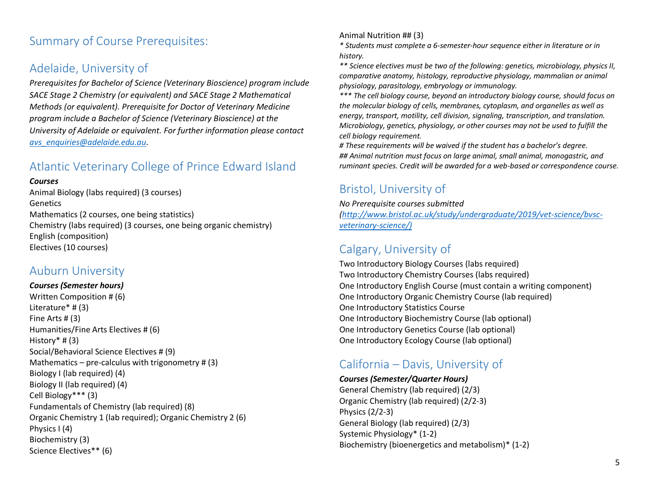# <span id="page-4-0"></span>Summary of Course Prerequisites:

### <span id="page-4-1"></span>Adelaide, University of

*Prerequisites for Bachelor of Science (Veterinary Bioscience) program include SACE Stage 2 Chemistry (or equivalent) and SACE Stage 2 Mathematical Methods (or equivalent). Prerequisite for Doctor of Veterinary Medicine program include a Bachelor of Science (Veterinary Bioscience) at the University of Adelaide or equivalent. For further information please contact [avs\\_enquiries@adelaide.edu.au.](mailto:avs_enquiries@adelaide.edu.au)*

### <span id="page-4-2"></span>Atlantic Veterinary College of Prince Edward Island

#### *Courses*

Animal Biology (labs required) (3 courses) Genetics Mathematics (2 courses, one being statistics) Chemistry (labs required) (3 courses, one being organic chemistry) English (composition) Electives (10 courses)

### <span id="page-4-3"></span>Auburn University

*Courses (Semester hours)* Written Composition # (6) Literature\* # (3) Fine Arts # (3) Humanities/Fine Arts Electives # (6) History $*$  # (3) Social/Behavioral Science Electives # (9) Mathematics – pre-calculus with trigonometry  $\#$  (3) Biology I (lab required) (4) Biology II (lab required) (4) Cell Biology\*\*\* (3) Fundamentals of Chemistry (lab required) (8) Organic Chemistry 1 (lab required); Organic Chemistry 2 (6) Physics I (4) Biochemistry (3) Science Electives\*\* (6)

#### Animal Nutrition ## (3)

*\* Students must complete a 6-semester-hour sequence either in literature or in history.*

*\*\* Science electives must be two of the following: genetics, microbiology, physics II, comparative anatomy, histology, reproductive physiology, mammalian or animal physiology, parasitology, embryology or immunology.*

*\*\*\* The cell biology course, beyond an introductory biology course, should focus on the molecular biology of cells, membranes, cytoplasm, and organelles as well as energy, transport, motility, cell division, signaling, transcription, and translation. Microbiology, genetics, physiology, or other courses may not be used to fulfill the cell biology requirement.*

*# These requirements will be waived if the student has a bachelor's degree. ## Animal nutrition must focus on large animal, small animal, monogastric, and ruminant species. Credit will be awarded for a web-based or correspondence course.*

## <span id="page-4-4"></span>Bristol, University of

*No Prerequisite courses submitted*

*[\(http://www.bristol.ac.uk/study/undergraduate/2019/vet-science/bvsc](http://www.bristol.ac.uk/study/undergraduate/2019/vet-science/bvsc-veterinary-science/))[veterinary-science/\)](http://www.bristol.ac.uk/study/undergraduate/2019/vet-science/bvsc-veterinary-science/))*

### <span id="page-4-5"></span>Calgary, University of

Two Introductory Biology Courses (labs required) Two Introductory Chemistry Courses (labs required) One Introductory English Course (must contain a writing component) One Introductory Organic Chemistry Course (lab required) One Introductory Statistics Course One Introductory Biochemistry Course (lab optional) One Introductory Genetics Course (lab optional) One Introductory Ecology Course (lab optional)

### <span id="page-4-6"></span>California – Davis, University of

#### *Courses (Semester/Quarter Hours)*

General Chemistry (lab required) (2/3) Organic Chemistry (lab required) (2/2-3) Physics (2/2-3) General Biology (lab required) (2/3) Systemic Physiology\* (1-2) Biochemistry (bioenergetics and metabolism)\* (1-2)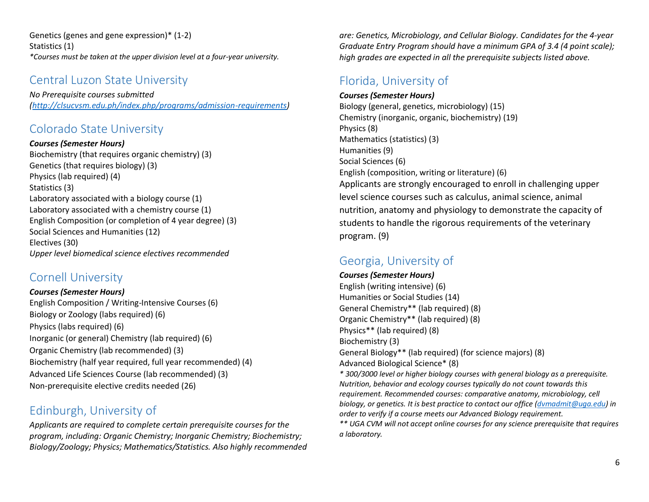Genetics (genes and gene expression)\* (1-2) Statistics (1) *\*Courses must be taken at the upper division level at a four-year university.*

### <span id="page-5-0"></span>Central Luzon State University

*No Prerequisite courses submitted [\(http://clsucvsm.edu.ph/index.php/programs/admission-requirements\)](http://clsucvsm.edu.ph/index.php/programs/admission-requirements)* 

### <span id="page-5-1"></span>Colorado State University

*Courses (Semester Hours)* Biochemistry (that requires organic chemistry) (3) Genetics (that requires biology) (3) Physics (lab required) (4) Statistics (3) Laboratory associated with a biology course (1) Laboratory associated with a chemistry course (1) English Composition (or completion of 4 year degree) (3) Social Sciences and Humanities (12) Electives (30) *Upper level biomedical science electives recommended*

### <span id="page-5-2"></span>Cornell University

*Courses (Semester Hours)* English Composition / Writing-Intensive Courses (6) Biology or Zoology (labs required) (6) Physics (labs required) (6) Inorganic (or general) Chemistry (lab required) (6) Organic Chemistry (lab recommended) (3) Biochemistry (half year required, full year recommended) (4) Advanced Life Sciences Course (lab recommended) (3) Non-prerequisite elective credits needed (26)

### <span id="page-5-3"></span>Edinburgh, University of

*Applicants are required to complete certain prerequisite courses for the program, including: Organic Chemistry; Inorganic Chemistry; Biochemistry; Biology/Zoology; Physics; Mathematics/Statistics. Also highly recommended* 

*are: Genetics, Microbiology, and Cellular Biology. Candidates for the 4-year Graduate Entry Program should have a minimum GPA of 3.4 (4 point scale); high grades are expected in all the prerequisite subjects listed above.*

## <span id="page-5-4"></span>Florida, University of

#### *Courses (Semester Hours)*

Biology (general, genetics, microbiology) (15) Chemistry (inorganic, organic, biochemistry) (19) Physics (8) Mathematics (statistics) (3) Humanities (9) Social Sciences (6) English (composition, writing or literature) (6) Applicants are strongly encouraged to enroll in challenging upper level science courses such as calculus, animal science, animal nutrition, anatomy and physiology to demonstrate the capacity of students to handle the rigorous requirements of the veterinary program. (9)

# <span id="page-5-5"></span>Georgia, University of

*Courses (Semester Hours)* English (writing intensive) (6) Humanities or Social Studies (14) General Chemistry\*\* (lab required) (8) Organic Chemistry\*\* (lab required) (8) Physics\*\* (lab required) (8) Biochemistry (3) General Biology\*\* (lab required) (for science majors) (8) Advanced Biological Science\* (8) *\* 300/3000 level or higher biology courses with general biology as a prerequisite. Nutrition, behavior and ecology courses typically do not count towards this requirement. Recommended courses: comparative anatomy, microbiology, cell biology, or genetics. It is best practice to contact our office [\(dvmadmit@uga.edu\)](mailto:dvmadmit@uga.edu) in order to verify if a course meets our Advanced Biology requirement.*

*\*\* UGA CVM will not accept online courses for any science prerequisite that requires a laboratory.*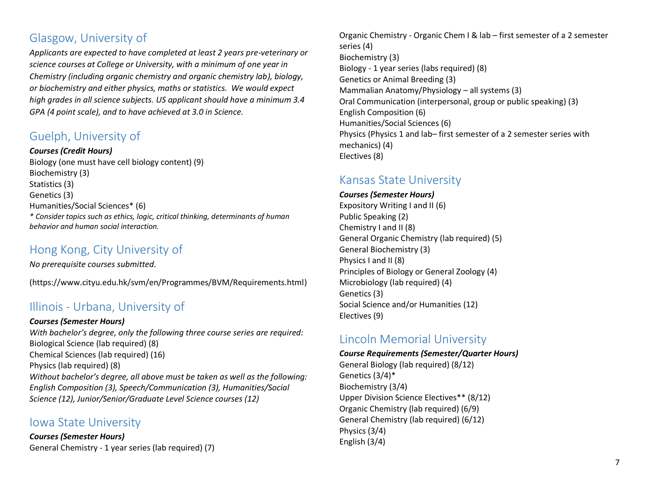### <span id="page-6-0"></span>Glasgow, University of

*Applicants are expected to have completed at least 2 years pre-veterinary or science courses at College or University, with a minimum of one year in Chemistry (including organic chemistry and organic chemistry lab), biology, or biochemistry and either physics, maths or statistics. We would expect high grades in all science subjects. US applicant should have a minimum 3.4 GPA (4 point scale), and to have achieved at 3.0 in Science.*

### <span id="page-6-1"></span>Guelph, University of

*Courses (Credit Hours)*

Biology (one must have cell biology content) (9) Biochemistry (3) Statistics (3) Genetics (3) Humanities/Social Sciences\* (6) *\* Consider topics such as ethics, logic, critical thinking, determinants of human behavior and human social interaction.*

### <span id="page-6-2"></span>Hong Kong, City University of

*No prerequisite courses submitted.*

(https://www.cityu.edu.hk/svm/en/Programmes/BVM/Requirements.html)

### <span id="page-6-3"></span>Illinois - Urbana, University of

*Courses (Semester Hours) With bachelor's degree, only the following three course series are required:* Biological Science (lab required) (8) Chemical Sciences (lab required) (16) Physics (lab required) (8) *Without bachelor's degree, all above must be taken as well as the following: English Composition (3), Speech/Communication (3), Humanities/Social Science (12), Junior/Senior/Graduate Level Science courses (12)*

### <span id="page-6-4"></span>Iowa State University

*Courses (Semester Hours)* General Chemistry - 1 year series (lab required) (7) Organic Chemistry - Organic Chem I & lab – first semester of a 2 semester series (4) Biochemistry (3) Biology - 1 year series (labs required) (8) Genetics or Animal Breeding (3) Mammalian Anatomy/Physiology – all systems (3) Oral Communication (interpersonal, group or public speaking) (3) English Composition (6) Humanities/Social Sciences (6) Physics (Physics 1 and lab– first semester of a 2 semester series with mechanics) (4) Electives (8)

### <span id="page-6-5"></span>Kansas State University

*Courses (Semester Hours)*

Expository Writing I and II (6) Public Speaking (2) Chemistry I and II (8) General Organic Chemistry (lab required) (5) General Biochemistry (3) Physics I and II (8) Principles of Biology or General Zoology (4) Microbiology (lab required) (4) Genetics (3) Social Science and/or Humanities (12) Electives (9)

### <span id="page-6-6"></span>Lincoln Memorial University

*Course Requirements (Semester/Quarter Hours)* General Biology (lab required) (8/12) Genetics (3/4)\* Biochemistry (3/4) Upper Division Science Electives\*\* (8/12) Organic Chemistry (lab required) (6/9) General Chemistry (lab required) (6/12) Physics (3/4) English (3/4)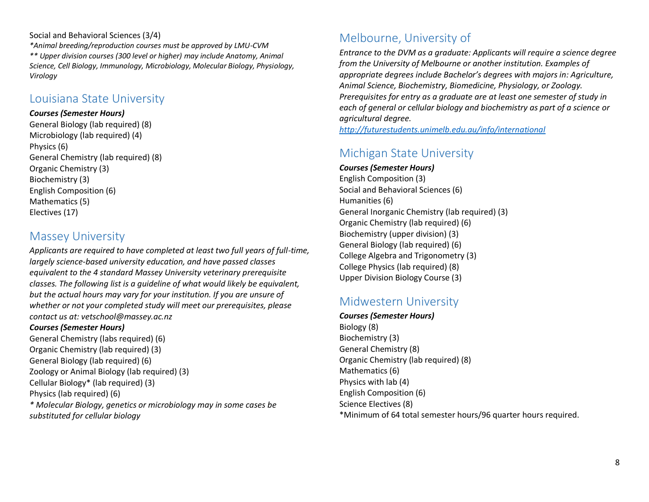#### Social and Behavioral Sciences (3/4)

*\*Animal breeding/reproduction courses must be approved by LMU-CVM \*\* Upper division courses (300 level or higher) may include Anatomy, Animal Science, Cell Biology, Immunology, Microbiology, Molecular Biology, Physiology, Virology*

### <span id="page-7-0"></span>Louisiana State University

#### *Courses (Semester Hours)*

General Biology (lab required) (8) Microbiology (lab required) (4) Physics (6) General Chemistry (lab required) (8) Organic Chemistry (3) Biochemistry (3) English Composition (6) Mathematics (5) Electives (17)

### <span id="page-7-1"></span>Massey University

*Applicants are required to have completed at least two full years of full-time, largely science-based university education, and have passed classes equivalent to the 4 standard Massey University veterinary prerequisite classes. The following list is a guideline of what would likely be equivalent, but the actual hours may vary for your institution. If you are unsure of whether or not your completed study will meet our prerequisites, please contact us at: vetschool@massey.ac.nz*

*Courses (Semester Hours)* General Chemistry (labs required) (6) Organic Chemistry (lab required) (3) General Biology (lab required) (6) Zoology or Animal Biology (lab required) (3) Cellular Biology\* (lab required) (3) Physics (lab required) (6) *\* Molecular Biology, genetics or microbiology may in some cases be substituted for cellular biology*

# <span id="page-7-2"></span>Melbourne, University of

*Entrance to the DVM as a graduate: Applicants will require a science degree from the University of Melbourne or another institution. Examples of appropriate degrees include Bachelor's degrees with majors in: Agriculture, Animal Science, Biochemistry, Biomedicine, Physiology, or Zoology. Prerequisites for entry as a graduate are at least one semester of study in each of general or cellular biology and biochemistry as part of a science or agricultural degree.* 

*<http://futurestudents.unimelb.edu.au/info/international>*

# <span id="page-7-3"></span>Michigan State University

*Courses (Semester Hours)* English Composition (3) Social and Behavioral Sciences (6) Humanities (6) General Inorganic Chemistry (lab required) (3) Organic Chemistry (lab required) (6) Biochemistry (upper division) (3) General Biology (lab required) (6) College Algebra and Trigonometry (3) College Physics (lab required) (8) Upper Division Biology Course (3)

# <span id="page-7-4"></span>Midwestern University

*Courses (Semester Hours)* Biology (8) Biochemistry (3) General Chemistry (8) Organic Chemistry (lab required) (8) Mathematics (6) Physics with lab (4) English Composition (6) Science Electives (8) \*Minimum of 64 total semester hours/96 quarter hours required.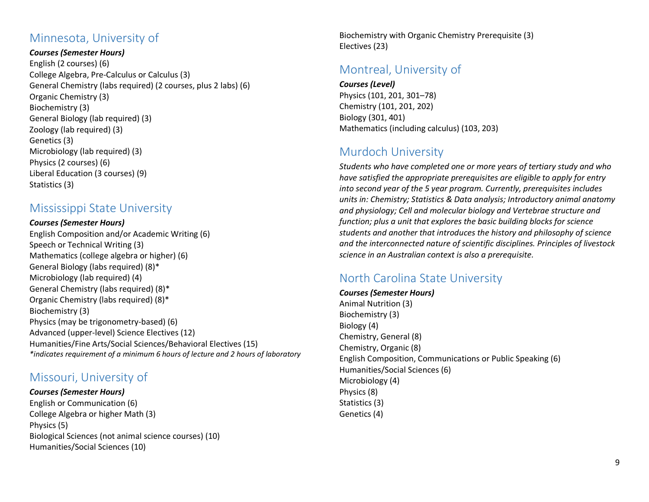### <span id="page-8-0"></span>Minnesota, University of

*Courses (Semester Hours)* English (2 courses) (6) College Algebra, Pre-Calculus or Calculus (3) General Chemistry (labs required) (2 courses, plus 2 labs) (6) Organic Chemistry (3) Biochemistry (3) General Biology (lab required) (3) Zoology (lab required) (3) Genetics (3) Microbiology (lab required) (3) Physics (2 courses) (6) Liberal Education (3 courses) (9) Statistics (3)

### <span id="page-8-1"></span>Mississippi State University

#### *Courses (Semester Hours)*

English Composition and/or Academic Writing (6) Speech or Technical Writing (3) Mathematics (college algebra or higher) (6) General Biology (labs required) (8)\* Microbiology (lab required) (4) General Chemistry (labs required) (8)\* Organic Chemistry (labs required) (8)\* Biochemistry (3) Physics (may be trigonometry-based) (6) Advanced (upper-level) Science Electives (12) Humanities/Fine Arts/Social Sciences/Behavioral Electives (15) *\*indicates requirement of a minimum 6 hours of lecture and 2 hours of laboratory*

### <span id="page-8-2"></span>Missouri, University of

*Courses (Semester Hours)* English or Communication (6) College Algebra or higher Math (3) Physics (5) Biological Sciences (not animal science courses) (10) Humanities/Social Sciences (10)

Biochemistry with Organic Chemistry Prerequisite (3) Electives (23)

### <span id="page-8-3"></span>Montreal, University of

*Courses (Level)* Physics (101, 201, 301–78) Chemistry (101, 201, 202) Biology (301, 401) Mathematics (including calculus) (103, 203)

# <span id="page-8-4"></span>Murdoch University

*Students who have completed one or more years of tertiary study and who have satisfied the appropriate prerequisites are eligible to apply for entry into second year of the 5 year program. Currently, prerequisites includes units in: Chemistry; Statistics & Data analysis; Introductory animal anatomy and physiology; Cell and molecular biology and Vertebrae structure and function; plus a unit that explores the basic building blocks for science students and another that introduces the history and philosophy of science and the interconnected nature of scientific disciplines. Principles of livestock science in an Australian context is also a prerequisite.*

# <span id="page-8-5"></span>North Carolina State University

#### *Courses (Semester Hours)*

Animal Nutrition (3) Biochemistry (3) Biology (4) Chemistry, General (8) Chemistry, Organic (8) English Composition, Communications or Public Speaking (6) Humanities/Social Sciences (6) Microbiology (4) Physics (8) Statistics (3) Genetics (4)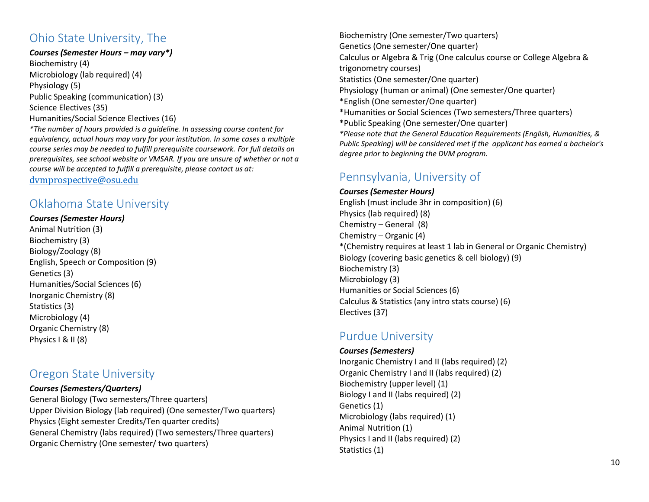### <span id="page-9-0"></span>Ohio State University, The

#### *Courses (Semester Hours – may vary\*)*

Biochemistry (4) Microbiology (lab required) (4) Physiology (5) Public Speaking (communication) (3) Science Electives (35) Humanities/Social Science Electives (16) *\*The number of hours provided is a guideline. In assessing course content for* 

*equivalency, actual hours may vary for your institution. In some cases a multiple course series may be needed to fulfill prerequisite coursework. For full details on prerequisites, see school website or VMSAR. If you are unsure of whether or not a course will be accepted to fulfill a prerequisite, please contact us at:* 

<span id="page-9-1"></span>[dvmprospective@osu.edu](mailto:dvmprospective@osu.edu)

### Oklahoma State University

#### *Courses (Semester Hours)*

Animal Nutrition (3) Biochemistry (3) Biology/Zoology (8) English, Speech or Composition (9) Genetics (3) Humanities/Social Sciences (6) Inorganic Chemistry (8) Statistics (3) Microbiology (4) Organic Chemistry (8) Physics I & II (8)

### <span id="page-9-2"></span>Oregon State University

#### *Courses (Semesters/Quarters)*

General Biology (Two semesters/Three quarters) Upper Division Biology (lab required) (One semester/Two quarters) Physics (Eight semester Credits/Ten quarter credits) General Chemistry (labs required) (Two semesters/Three quarters) Organic Chemistry (One semester/ two quarters)

Biochemistry (One semester/Two quarters) Genetics (One semester/One quarter) Calculus or Algebra & Trig (One calculus course or College Algebra & trigonometry courses) Statistics (One semester/One quarter) Physiology (human or animal) (One semester/One quarter) \*English (One semester/One quarter) \*Humanities or Social Sciences (Two semesters/Three quarters) \*Public Speaking (One semester/One quarter) *\*Please note that the General Education Requirements (English, Humanities, & Public Speaking) will be considered met if the applicant has earned a bachelor's degree prior to beginning the DVM program.*

## <span id="page-9-3"></span>Pennsylvania, University of

#### *Courses (Semester Hours)* English (must include 3hr in composition) (6) Physics (lab required) (8) Chemistry – General (8) Chemistry – Organic (4) \*(Chemistry requires at least 1 lab in General or Organic Chemistry) Biology (covering basic genetics & cell biology) (9) Biochemistry (3) Microbiology (3) Humanities or Social Sciences (6) Calculus & Statistics (any intro stats course) (6) Electives (37)

### <span id="page-9-4"></span>Purdue University

#### *Courses (Semesters)*

Inorganic Chemistry I and II (labs required) (2) Organic Chemistry I and II (labs required) (2) Biochemistry (upper level) (1) Biology I and II (labs required) (2) Genetics (1) Microbiology (labs required) (1) Animal Nutrition (1) Physics I and II (labs required) (2) Statistics (1)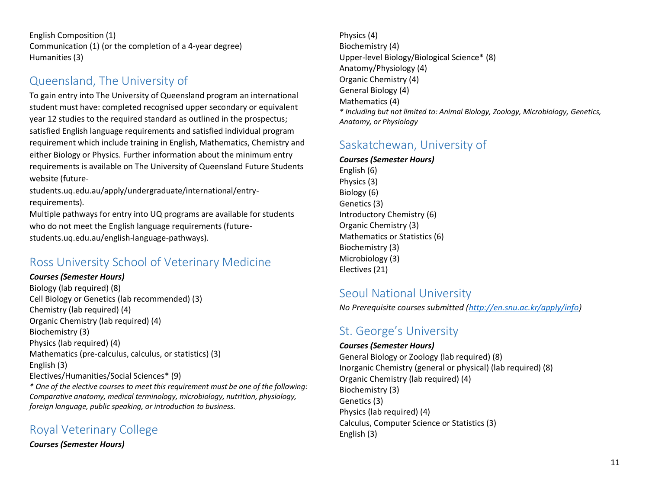English Composition (1) Communication (1) (or the completion of a 4-year degree) Humanities (3)

## <span id="page-10-0"></span>Queensland, The University of

To gain entry into The University of Queensland program an international student must have: completed recognised upper secondary or equivalent year 12 studies to the required standard as outlined in the prospectus; satisfied English language requirements and satisfied individual program requirement which include training in English, Mathematics, Chemistry and either Biology or Physics. Further information about the minimum entry requirements is available on The University of Queensland Future Students website (future-

students.uq.edu.au/apply/undergraduate/international/entryrequirements).

Multiple pathways for entry into UQ programs are available for students who do not meet the English language requirements (futurestudents.uq.edu.au/english-language-pathways).

### <span id="page-10-1"></span>Ross University School of Veterinary Medicine

#### *Courses (Semester Hours)*

Biology (lab required) (8) Cell Biology or Genetics (lab recommended) (3) Chemistry (lab required) (4) Organic Chemistry (lab required) (4) Biochemistry (3) Physics (lab required) (4) Mathematics (pre-calculus, calculus, or statistics) (3) English (3) Electives/Humanities/Social Sciences\* (9) *\* One of the elective courses to meet this requirement must be one of the following: Comparative anatomy, medical terminology, microbiology, nutrition, physiology, foreign language, public speaking, or introduction to business.*

### <span id="page-10-2"></span>Royal Veterinary College

*Courses (Semester Hours)*

Physics (4) Biochemistry (4) Upper-level Biology/Biological Science\* (8) Anatomy/Physiology (4) Organic Chemistry (4) General Biology (4) Mathematics (4) *\* Including but not limited to: Animal Biology, Zoology, Microbiology, Genetics, Anatomy, or Physiology*

### <span id="page-10-3"></span>Saskatchewan, University of

*Courses (Semester Hours)* English (6) Physics (3) Biology (6) Genetics (3) Introductory Chemistry (6) Organic Chemistry (3) Mathematics or Statistics (6) Biochemistry (3) Microbiology (3) Electives (21)

### <span id="page-10-4"></span>Seoul National University

<span id="page-10-5"></span>*No Prerequisite courses submitted [\(http://en.snu.ac.kr/apply/info\)](http://en.snu.ac.kr/apply/info)*

### St. George's University

*Courses (Semester Hours)* General Biology or Zoology (lab required) (8) Inorganic Chemistry (general or physical) (lab required) (8) Organic Chemistry (lab required) (4) Biochemistry (3) Genetics (3) Physics (lab required) (4) Calculus, Computer Science or Statistics (3) English (3)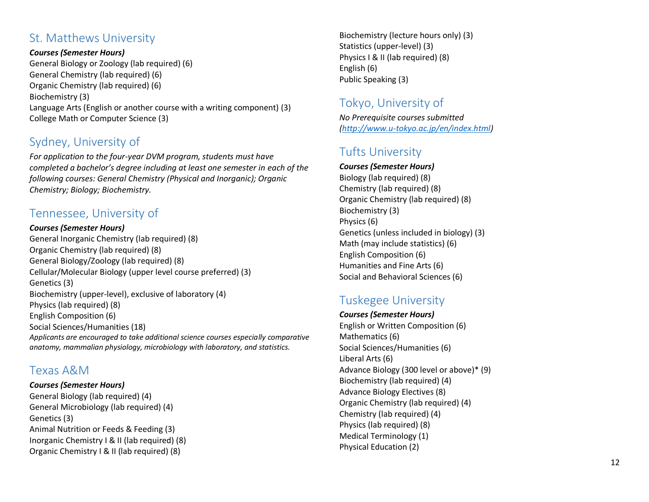### <span id="page-11-0"></span>St. Matthews University

*Courses (Semester Hours)*

General Biology or Zoology (lab required) (6) General Chemistry (lab required) (6) Organic Chemistry (lab required) (6 ) Biochemistry (3) Language Arts (English or another course with a writing component) (3) College Math or Computer Science (3)

## <span id="page-11-1"></span>Sydney, University of

*For application to the four -year DVM program, students must have completed a bachelor's degree including at least one semester in each of the following courses: General Chemistry (Physical and Inorganic); Organic Chemistry; Biology; Biochemistry .*

# <span id="page-11-2"></span>Tennessee, University of

*Courses (Semester Hours)* General Inorganic Chemistry (lab required) (8) Organic Chemistry (lab required) (8) General Biology/Zoology (lab required) (8) Cellular/Molecular Biology (upper level course preferred) (3) Genetics (3) Biochemistry (upper -level), exclusive of laboratory (4) Physics (lab required) (8) English Composition (6) Social Sciences/Humanities (18) *Applicants are encouraged to take additional science courses especially comparative anatomy, mammalian physiology, microbiology with laboratory, and statistics.*

### <span id="page-11-3"></span>Texas A&M

*Courses (Semester Hours)* General Biology (lab required) (4) General Microbiology (lab required) (4) Genetics (3) Animal Nutrition or Feeds & Feeding (3) Inorganic Chemistry I & II (lab required) (8) Organic Chemistry I & II (lab required) (8)

Biochemistry (lecture hours only) (3) Statistics (upper -level) (3) Physics I & II (lab required) (8) English (6) Public Speaking (3)

# <span id="page-11-4"></span>Tokyo, University of

*No Prerequisite courses submitted [\(http://www.u-tokyo.ac.jp/en/index.html\)](http://www.u-tokyo.ac.jp/en/index.html)*

# <span id="page-11-5"></span>Tufts University

*Courses (Semester Hours)* Biology (lab required) (8) Chemistry (lab required) (8) Organic Chemistry (lab required ) (8) Biochemistry (3) Physics (6 ) Genetics (unless included in biology) (3) Math (may include statistics ) (6) English Composition (6) Humanities and Fine Arts (6) Social and Behavioral Sciences (6)

# <span id="page-11-6"></span>Tuskegee University

*Courses (Semester Hours)* English or Written Composition (6) Mathematics (6) Social Sciences/Humanities (6) Liberal Arts (6) Advance Biology (300 level or above)\* (9) Biochemistry (lab required) (4) Advance Biology Elective s (8) Organic Chemistry (lab required) (4) Chemistry (lab required) (4) Physics (lab required) (8) Medical Terminology (1) Physical Education (2)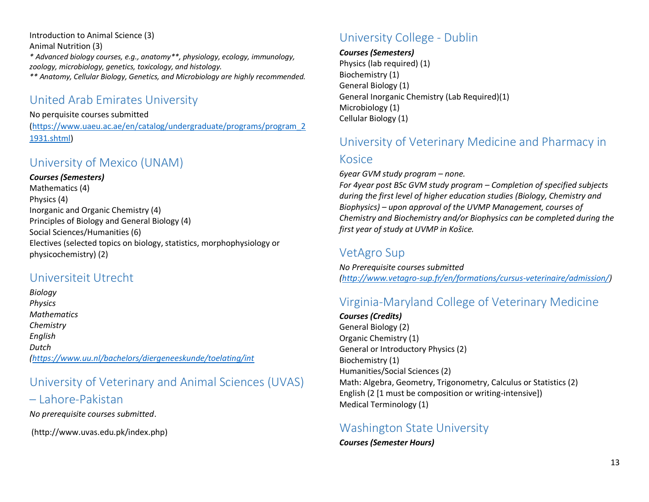Introduction to Animal Science (3)

Animal Nutrition (3)

*\* Advanced biology courses, e.g., anatomy\*\*, physiology, ecology, immunology, zoology, microbiology, genetics, toxicology, and histology.*

<span id="page-12-0"></span>*\*\* Anatomy, Cellular Biology, Genetics, and Microbiology are highly recommended.* 

### United Arab Emirates University

#### No perquisite courses submitted

[\(https://www.uaeu.ac.ae/en/catalog/undergraduate/programs/program\\_2](https://www.uaeu.ac.ae/en/catalog/undergraduate/programs/program_21931.shtml) [1931.shtml\)](https://www.uaeu.ac.ae/en/catalog/undergraduate/programs/program_21931.shtml)

### <span id="page-12-1"></span>University of Mexico (UNAM)

*Courses (Semesters)*

Mathematics (4) Physics (4) Inorganic and Organic Chemistry (4) Principles of Biology and General Biology (4) Social Sciences/Humanities (6) Electives (selected topics on biology, statistics, morphophysiology or physicochemistry) (2)

### <span id="page-12-2"></span>Universiteit Utrecht

*Biology Physics Mathematics Chemistry English Dutch [\(https://www.uu.nl/bachelors/diergeneeskunde/toelating/int](https://www.uu.nl/bachelors/diergeneeskunde/toelating/int)*

# <span id="page-12-3"></span>University of Veterinary and Animal Sciences (UVAS)

### – Lahore-Pakistan

*No prerequisite courses submitted*.

(http://www.uvas.edu.pk/index.php)

# <span id="page-12-4"></span>University College - Dublin

*Courses (Semesters)*

Physics (lab required) (1) Biochemistry (1) General Biology (1) General Inorganic Chemistry (Lab Required)(1) Microbiology (1) Cellular Biology (1)

# <span id="page-12-5"></span>University of Veterinary Medicine and Pharmacy in

### Kosice

*6year GVM study program – none.*

*For 4year post BSc GVM study program – Completion of specified subjects during the first level of higher education studies (Biology, Chemistry and Biophysics) – upon approval of the UVMP Management, courses of Chemistry and Biochemistry and/or Biophysics can be completed during the first year of study at UVMP in Košice.*

### <span id="page-12-6"></span>VetAgro Sup

*No Prerequisite courses submitted [\(http://www.vetagro-sup.fr/en/formations/cursus-veterinaire/admission/\)](http://www.vetagro-sup.fr/en/formations/cursus-veterinaire/admission/)*

# <span id="page-12-7"></span>Virginia-Maryland College of Veterinary Medicine

*Courses (Credits)* General Biology (2) Organic Chemistry (1) General or Introductory Physics (2) Biochemistry (1) Humanities/Social Sciences (2) Math: Algebra, Geometry, Trigonometry, Calculus or Statistics (2) English (2 [1 must be composition or writing-intensive]) Medical Terminology (1)

### <span id="page-12-8"></span>Washington State University

*Courses (Semester Hours)*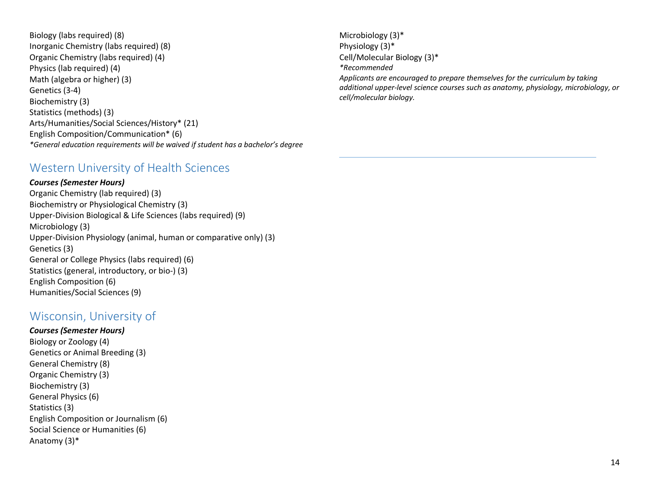Biology (labs required) (8) Inorganic Chemistry (labs required) (8) Organic Chemistry (labs required) (4) Physics (lab required) (4) Math (algebra or higher) (3) Genetics (3-4) Biochemistry (3) Statistics (methods) (3) Arts/Humanities/Social Sciences/History\* (21) English Composition/Communication\* (6) *\*General education requirements will be waived if student has a bachelor's degree*

### <span id="page-13-0"></span>Western University of Health Sciences

#### *Courses (Semester Hours)*

Organic Chemistry (lab required) (3) Biochemistry or Physiological Chemistry (3) Upper-Division Biological & Life Sciences (labs required) (9) Microbiology (3) Upper-Division Physiology (animal, human or comparative only) (3) Genetics (3) General or College Physics (labs required) (6) Statistics (general, introductory, or bio-) (3) English Composition (6) Humanities/Social Sciences (9)

### <span id="page-13-1"></span>Wisconsin, University of

*Courses (Semester Hours)* Biology or Zoology (4) Genetics or Animal Breeding (3) General Chemistry (8) Organic Chemistry (3) Biochemistry (3) General Physics (6) Statistics (3) English Composition or Journalism (6) Social Science or Humanities (6) Anatomy (3)\*

Microbiology (3)\* Physiology (3)\* Cell/Molecular Biology (3)\* *\*Recommended Applicants are encouraged to prepare themselves for the curriculum by taking additional upper-level science courses such as anatomy, physiology, microbiology, or cell/molecular biology.*